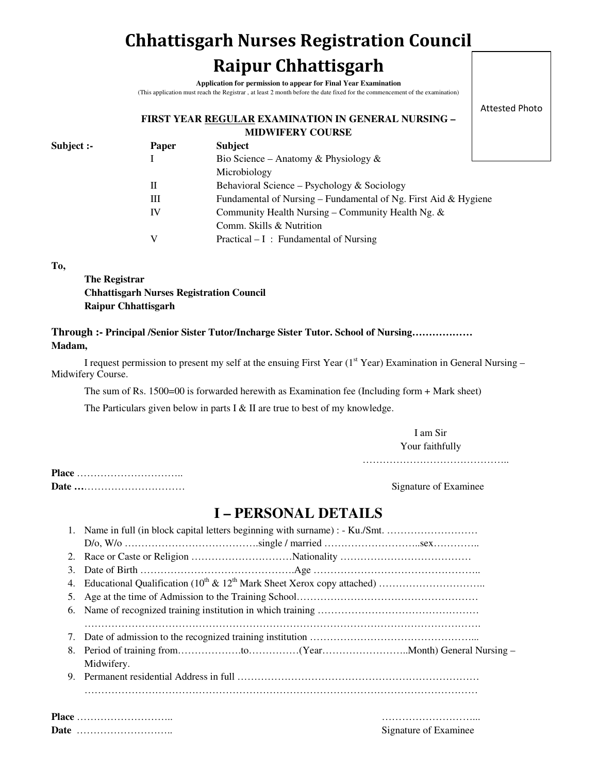# **Chhattisgarh Nurses Registration Council Raipur Chhattisgarh**

**Application for permission to appear for Final Year Examination** (This application must reach the Registrar , at least 2 month before the date fixed for the commencement of the examination)

#### **FIRST YEAR REGULAR EXAMINATION IN GENERAL NURSING – MIDWIFERY COURSE**

Attested Photo

| Subject :- | <b>Paper</b> | <b>Subject</b>                                                  |  |
|------------|--------------|-----------------------------------------------------------------|--|
|            |              | Bio Science – Anatomy & Physiology &                            |  |
|            |              | Microbiology                                                    |  |
|            | Н            | Behavioral Science – Psychology & Sociology                     |  |
|            | Ш            | Fundamental of Nursing – Fundamental of Ng. First Aid & Hygiene |  |
|            | IV           | Community Health Nursing – Community Health Ng. $\&$            |  |
|            |              | Comm. Skills & Nutrition                                        |  |
|            | V            | Practical $- I$ : Fundamental of Nursing                        |  |
|            |              |                                                                 |  |

**To,** 

**The Registrar Chhattisgarh Nurses Registration Council Raipur Chhattisgarh** 

### **Through :- Principal /Senior Sister Tutor/Incharge Sister Tutor. School of Nursing……………… Madam,**

I request permission to present my self at the ensuing First Year (1<sup>st</sup> Year) Examination in General Nursing – Midwifery Course.

The sum of Rs. 1500=00 is forwarded herewith as Examination fee (Including form + Mark sheet)

The Particulars given below in parts I & II are true to best of my knowledge.

I am Sir Your faithfully

…………………………………………………

**Place** ………………………….. **Date …**………………………… Signature of Examinee

### **I – PERSONAL DETAILS**

|    | 1. Name in full (in block capital letters beginning with surname) : - Ku./Smt. |  |  |  |  |
|----|--------------------------------------------------------------------------------|--|--|--|--|
|    |                                                                                |  |  |  |  |
| 2. |                                                                                |  |  |  |  |
| 3. |                                                                                |  |  |  |  |
| 4. |                                                                                |  |  |  |  |
|    |                                                                                |  |  |  |  |
| 6. |                                                                                |  |  |  |  |
|    |                                                                                |  |  |  |  |
|    |                                                                                |  |  |  |  |
|    |                                                                                |  |  |  |  |
|    | Midwifery.                                                                     |  |  |  |  |
| 9. |                                                                                |  |  |  |  |
|    |                                                                                |  |  |  |  |
|    |                                                                                |  |  |  |  |
|    | Place                                                                          |  |  |  |  |

**Date** ……………………….. Signature of Examinee